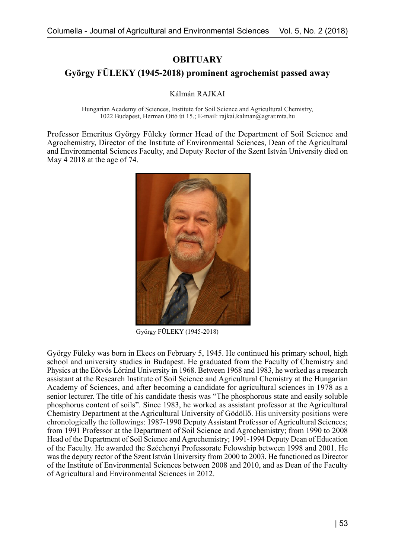**OBITUARY**

## **György FÜLEKY (1945-2018) prominent agrochemist passed away**

Kálmán RAJKAI

Hungarian Academy of Sciences, Institute for Soil Science and Agricultural Chemistry, 1022 Budapest, Herman Ottó út 15.; E-mail: rajkai.kalman@agrar.mta.hu

Professor Emeritus György Füleky former Head of the Department of Soil Science and Agrochemistry, Director of the Institute of Environmental Sciences, Dean of the Agricultural and Environmental Sciences Faculty, and Deputy Rector of the Szent István University died on May 4 2018 at the age of 74.



György FÜLEKY (1945-2018)

György Füleky was born in Ekecs on February 5, 1945. He continued his primary school, high school and university studies in Budapest. He graduated from the Faculty of Chemistry and Physics at the Eötvös Lóránd University in 1968. Between 1968 and 1983, he worked as a research assistant at the Research Institute of Soil Science and Agricultural Chemistry at the Hungarian Academy of Sciences, and after becoming a candidate for agricultural sciences in 1978 as a senior lecturer. The title of his candidate thesis was "The phosphorous state and easily soluble phosphorus content of soils". Since 1983, he worked as assistant professor at the Agricultural Chemistry Department at the Agricultural University of Gödöllő. His university positions were chronologically the followings: 1987-1990 Deputy Assistant Professor of Agricultural Sciences; from 1991 Professor at the Department of Soil Science and Agrochemistry; from 1990 to 2008 Head of the Department of Soil Science and Agrochemistry; 1991-1994 Deputy Dean of Education of the Faculty. He awarded the Széchenyi Professorate Felowship between 1998 and 2001. He was the deputy rector of the Szent István University from 2000 to 2003. He functioned as Director of the Institute of Environmental Sciences between 2008 and 2010, and as Dean of the Faculty of Agricultural and Environmental Sciences in 2012.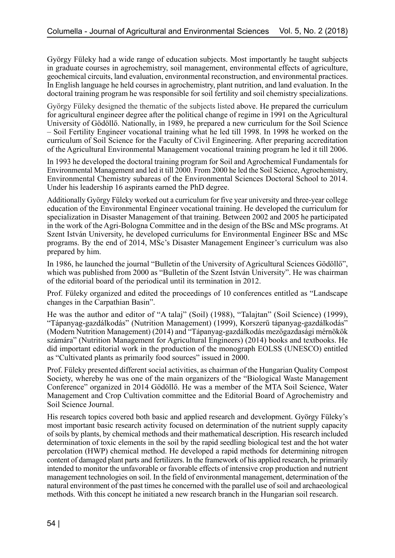György Füleky had a wide range of education subjects. Most importantly he taught subjects in graduate courses in agrochemistry, soil management, environmental effects of agriculture, geochemical circuits, land evaluation, environmental reconstruction, and environmental practices. In English language he held courses in agrochemistry, plant nutrition, and land evaluation. In the doctoral training program he was responsible for soil fertility and soil chemistry specializations.

György Füleky designed the thematic of the subjects listed above. He prepared the curriculum for agricultural engineer degree after the political change of regime in 1991 on the Agricultural University of Gödöllő. Nationally, in 1989, he prepared a new curriculum for the Soil Science – Soil Fertility Engineer vocational training what he led till 1998. In 1998 he worked on the curriculum of Soil Science for the Faculty of Civil Engineering. After preparing accreditation of the Agricultural Environmental Management vocational training program he led it till 2006.

In 1993 he developed the doctoral training program for Soil and Agrochemical Fundamentals for Environmental Management and led it till 2000. From 2000 he led the Soil Science, Agrochemistry, Environmental Chemistry subareas of the Environmental Sciences Doctoral School to 2014. Under his leadership 16 aspirants earned the PhD degree.

Additionally György Füleky worked out a curriculum for five year university and three-year college education of the Environmental Engineer vocational training. He developed the curriculum for specialization in Disaster Management of that training. Between 2002 and 2005 he participated in the work of the Agri-Bologna Committee and in the design of the BSc and MSc programs. At Szent István University, he developed curriculums for Environmental Engineer BSc and MSc programs. By the end of 2014, MSc's Disaster Management Engineer's curriculum was also prepared by him.

In 1986, he launched the journal "Bulletin of the University of Agricultural Sciences Gödöllő", which was published from 2000 as "Bulletin of the Szent István University". He was chairman of the editorial board of the periodical until its termination in 2012.

Prof. Füleky organized and edited the proceedings of 10 conferences entitled as "Landscape changes in the Carpathian Basin".

He was the author and editor of "A talaj" (Soil) (1988), "Talajtan" (Soil Science) (1999), "Tápanyag-gazdálkodás" (Nutrition Management) (1999), Korszerű tápanyag-gazdálkodás" (Modern Nutrition Management) (2014) and "Tápanyag-gazdálkodás mezőgazdasági mérnökök számára" (Nutrition Management for Agricultural Engineers) (2014) books and textbooks. He did important editorial work in the production of the monograph EOLSS (UNESCO) entitled as "Cultivated plants as primarily food sources" issued in 2000.

Prof. Füleky presented different social activities, as chairman of the Hungarian Quality Compost Society, whereby he was one of the main organizers of the "Biological Waste Management Conference" organized in 2014 Gödöllő. He was a member of the MTA Soil Science, Water Management and Crop Cultivation committee and the Editorial Board of Agrochemistry and Soil Science Journal.

His research topics covered both basic and applied research and development. György Füleky's most important basic research activity focused on determination of the nutrient supply capacity of soils by plants, by chemical methods and their mathematical description. His research included determination of toxic elements in the soil by the rapid seedling biological test and the hot water percolation (HWP) chemical method. He developed a rapid methods for determining nitrogen content of damaged plant parts and fertilizers. In the framework of his applied research, he primarily intended to monitor the unfavorable or favorable effects of intensive crop production and nutrient management technologies on soil. In the field of environmental management, determination of the natural environment of the past times he concerned with the parallel use of soil and archaeological methods. With this concept he initiated a new research branch in the Hungarian soil research.